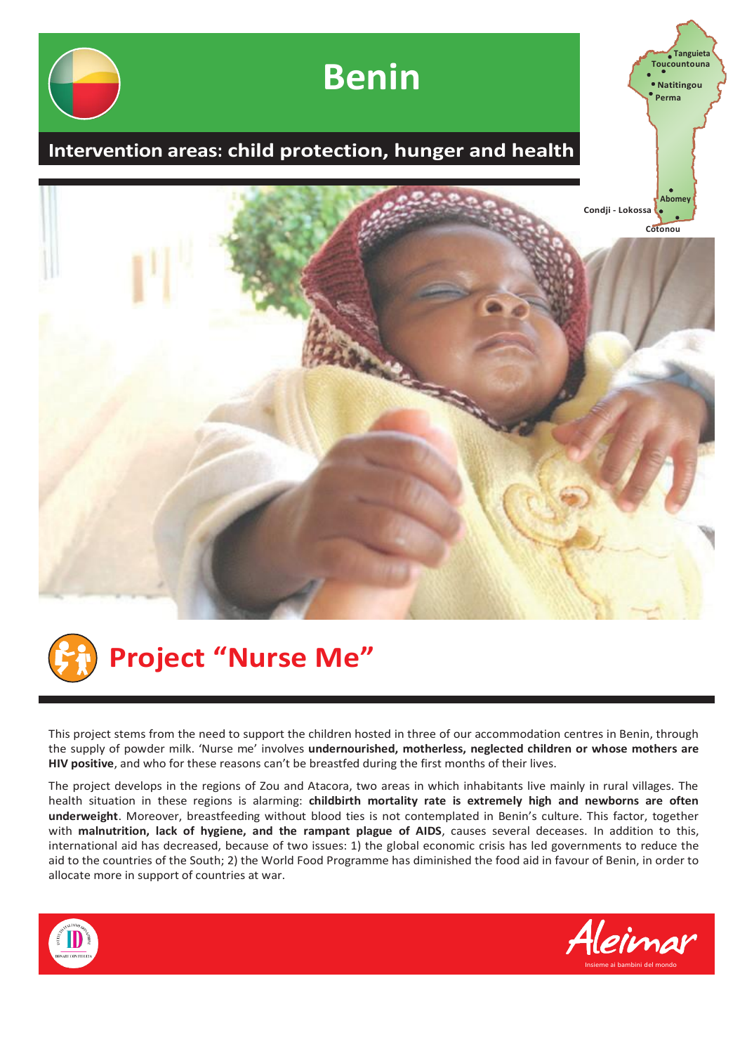



This project stems from the need to support the children hosted in three of our accommodation centres in Benin, through the supply of powder milk. 'Nurse me' involves **undernourished, motherless, neglected children or whose mothers are HIV positive**, and who for these reasons can't be breastfed during the first months of their lives.

The project develops in the regions of Zou and Atacora, two areas in which inhabitants live mainly in rural villages. The health situation in these regions is alarming: **childbirth mortality rate is extremely high and newborns are often underweight**. Moreover, breastfeeding without blood ties is not contemplated in Benin's culture. This factor, together with **malnutrition, lack of hygiene, and the rampant plague of AIDS**, causes several deceases. In addition to this, international aid has decreased, because of two issues: 1) the global economic crisis has led governments to reduce the aid to the countries of the South; 2) the World Food Programme has diminished the food aid in favour of Benin, in order to allocate more in support of countries at war.